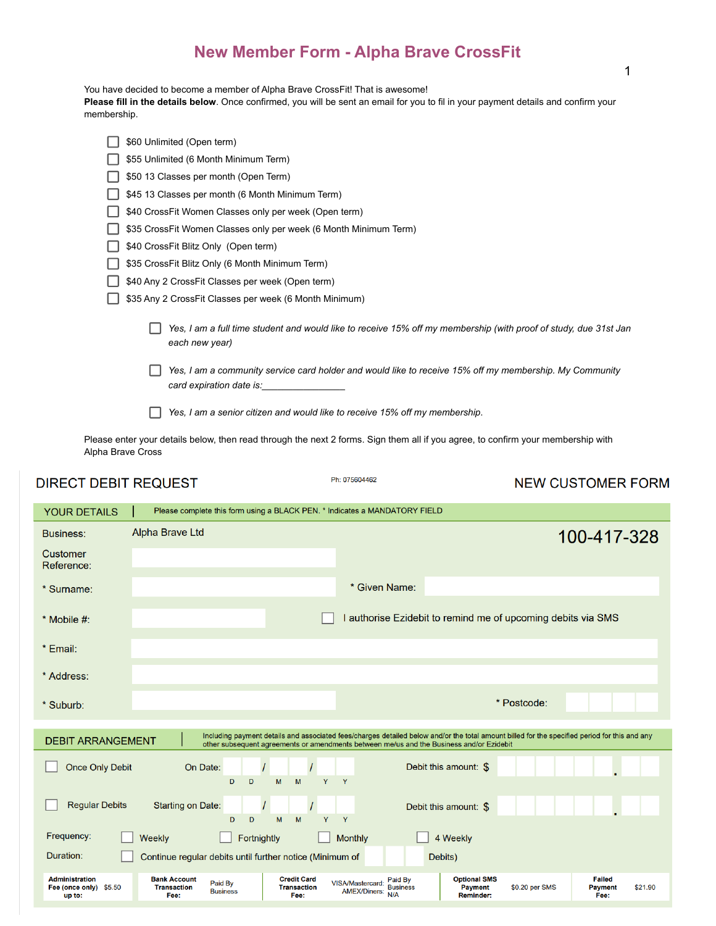# **New Member Form - Alpha Brave CrossFit**

You have decided to become a member of Alpha Brave CrossFit! That is awesome!

**Please fill in the details below**. Once confirmed, you will be sent an email for you to fil in your payment details and confirm your membership.

| \$60 Unlimited (Open term)                                                                                                         |
|------------------------------------------------------------------------------------------------------------------------------------|
| \$55 Unlimited (6 Month Minimum Term)                                                                                              |
| \$50 13 Classes per month (Open Term)                                                                                              |
| \$45 13 Classes per month (6 Month Minimum Term)                                                                                   |
| \$40 CrossFit Women Classes only per week (Open term)                                                                              |
| \$35 CrossFit Women Classes only per week (6 Month Minimum Term)                                                                   |
| \$40 CrossFit Blitz Only (Open term)                                                                                               |
| \$35 CrossFit Blitz Only (6 Month Minimum Term)                                                                                    |
| \$40 Any 2 CrossFit Classes per week (Open term)                                                                                   |
| \$35 Any 2 CrossFit Classes per week (6 Month Minimum)                                                                             |
| Yes, I am a full time student and would like to receive 15% off my membership (with proof of study, due 31st Jan<br>each new year) |
| Yes, I am a community service card holder and would like to receive 15% off my membership. My Community                            |
| Yes, I am a senior citizen and would like to receive 15% off my membership.                                                        |

Please enter your details below, then read through the next 2 forms. Sign them all if you agree, to confirm your membership with Alpha Brave Cross

# **DIRECT DEBIT REQUEST**

Ph: 075604462

# **NEW CUSTOMER FORM**

|                                                                                                                                                                                                                                                                                                                                                                                                                       | <b>YOUR DETAILS</b><br>Please complete this form using a BLACK PEN. * Indicates a MANDATORY FIELD |  |  |  |  |  |  |
|-----------------------------------------------------------------------------------------------------------------------------------------------------------------------------------------------------------------------------------------------------------------------------------------------------------------------------------------------------------------------------------------------------------------------|---------------------------------------------------------------------------------------------------|--|--|--|--|--|--|
| <b>Alpha Brave Ltd</b><br><b>Business:</b><br>100-417-328                                                                                                                                                                                                                                                                                                                                                             |                                                                                                   |  |  |  |  |  |  |
| <b>Customer</b><br>Reference:                                                                                                                                                                                                                                                                                                                                                                                         |                                                                                                   |  |  |  |  |  |  |
| * Given Name:<br>* Surname:                                                                                                                                                                                                                                                                                                                                                                                           |                                                                                                   |  |  |  |  |  |  |
| I authorise Ezidebit to remind me of upcoming debits via SMS<br>$*$ Mobile #:                                                                                                                                                                                                                                                                                                                                         |                                                                                                   |  |  |  |  |  |  |
| * Email:                                                                                                                                                                                                                                                                                                                                                                                                              |                                                                                                   |  |  |  |  |  |  |
| * Address:                                                                                                                                                                                                                                                                                                                                                                                                            |                                                                                                   |  |  |  |  |  |  |
| * Postcode:<br>* Suburb:                                                                                                                                                                                                                                                                                                                                                                                              |                                                                                                   |  |  |  |  |  |  |
| Including payment details and associated fees/charges detailed below and/or the total amount billed for the specified period for this and any<br><b>DEBIT ARRANGEMENT</b><br>other subsequent agreements or amendments between me/us and the Business and/or Ezidebit                                                                                                                                                 |                                                                                                   |  |  |  |  |  |  |
| Debit this amount: \$<br><b>Once Only Debit</b><br>On Date:<br>D<br>M<br>Y<br>D<br>M<br>Y                                                                                                                                                                                                                                                                                                                             |                                                                                                   |  |  |  |  |  |  |
| <b>Regular Debits</b><br><b>Starting on Date:</b><br>Debit this amount: \$<br>M<br>Y<br>Y<br>D<br>D<br>M                                                                                                                                                                                                                                                                                                              |                                                                                                   |  |  |  |  |  |  |
| Frequency:<br>Fortnightly<br>4 Weekly<br>Weekly<br><b>Monthly</b>                                                                                                                                                                                                                                                                                                                                                     |                                                                                                   |  |  |  |  |  |  |
| Duration:<br>Continue regular debits until further notice (Minimum of<br>Debits)                                                                                                                                                                                                                                                                                                                                      |                                                                                                   |  |  |  |  |  |  |
| <b>Credit Card</b><br><b>Administration</b><br><b>Bank Account</b><br><b>Optional SMS</b><br><b>Failed</b><br>Paid By<br>Paid By<br>VISA/Mastercard:<br>Fee (once only) \$5.50<br><b>Transaction</b><br><b>Transaction</b><br>\$0.20 per SMS<br>\$21.90<br><b>Business</b><br><b>Payment</b><br><b>Payment</b><br><b>AMEX/Diners:</b><br><b>Business</b><br>N/A<br>Fee:<br>Fee:<br><b>Reminder:</b><br>Fee:<br>up to: |                                                                                                   |  |  |  |  |  |  |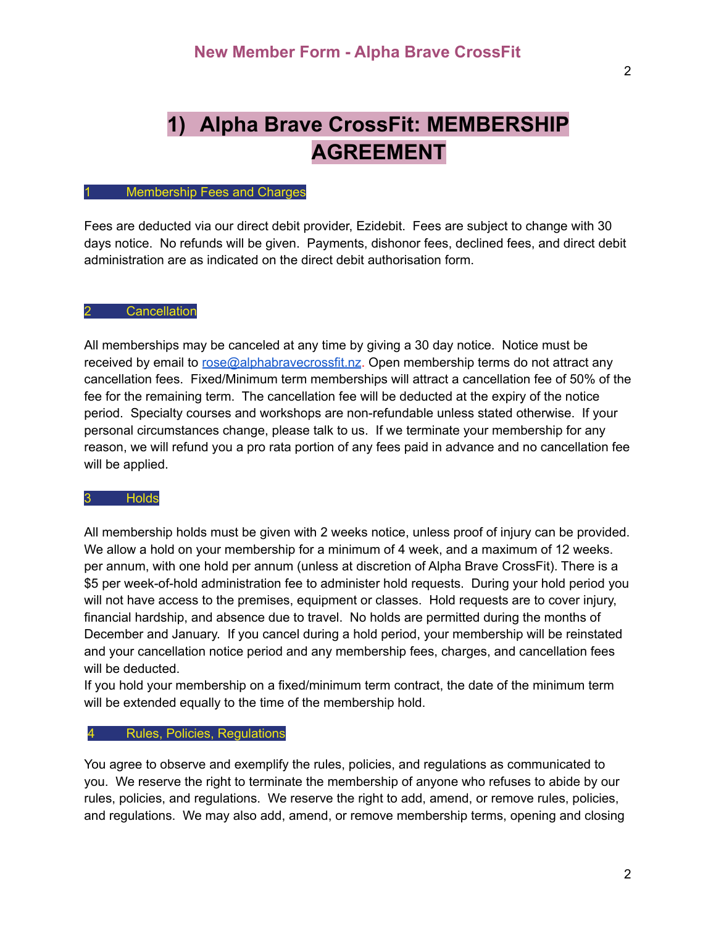# **1) Alpha Brave CrossFit: MEMBERSHIP AGREEMENT**

#### **Membership Fees and Charges**

Fees are deducted via our direct debit provider, Ezidebit. Fees are subject to change with 30 days notice. No refunds will be given. Payments, dishonor fees, declined fees, and direct debit administration are as indicated on the direct debit authorisation form.

## 2 Cancellation

All memberships may be canceled at any time by giving a 30 day notice. Notice must be received by email to rose@alphabrayecrossfit.nz. Open membership terms do not attract any cancellation fees. Fixed/Minimum term memberships will attract a cancellation fee of 50% of the fee for the remaining term. The cancellation fee will be deducted at the expiry of the notice period. Specialty courses and workshops are non-refundable unless stated otherwise. If your personal circumstances change, please talk to us. If we terminate your membership for any reason, we will refund you a pro rata portion of any fees paid in advance and no cancellation fee will be applied.

#### 3 Holds

All membership holds must be given with 2 weeks notice, unless proof of injury can be provided. We allow a hold on your membership for a minimum of 4 week, and a maximum of 12 weeks. per annum, with one hold per annum (unless at discretion of Alpha Brave CrossFit). There is a \$5 per week-of-hold administration fee to administer hold requests. During your hold period you will not have access to the premises, equipment or classes. Hold requests are to cover injury, financial hardship, and absence due to travel. No holds are permitted during the months of December and January. If you cancel during a hold period, your membership will be reinstated and your cancellation notice period and any membership fees, charges, and cancellation fees will be deducted.

If you hold your membership on a fixed/minimum term contract, the date of the minimum term will be extended equally to the time of the membership hold.

## 4 Rules, Policies, Regulations

You agree to observe and exemplify the rules, policies, and regulations as communicated to you. We reserve the right to terminate the membership of anyone who refuses to abide by our rules, policies, and regulations. We reserve the right to add, amend, or remove rules, policies, and regulations. We may also add, amend, or remove membership terms, opening and closing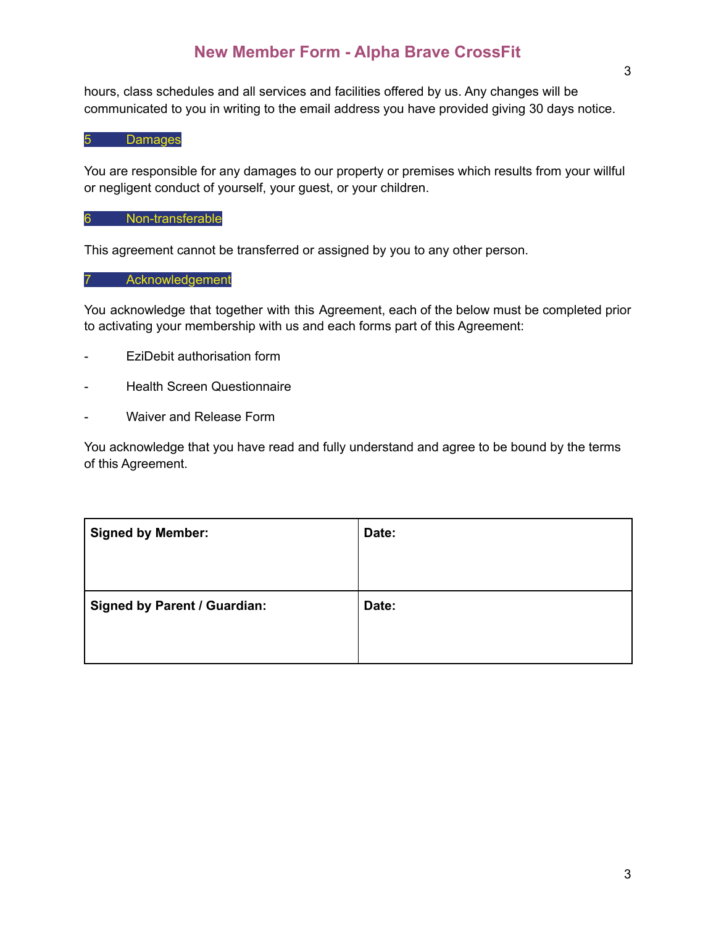# **New Member Form - Alpha Brave CrossFit**

hours, class schedules and all services and facilities offered by us. Any changes will be communicated to you in writing to the email address you have provided giving 30 days notice.

5 Damages

You are responsible for any damages to our property or premises which results from your willful or negligent conduct of yourself, your guest, or your children.

# 6 Non-transferable

This agreement cannot be transferred or assigned by you to any other person.

## 7 Acknowledgement

You acknowledge that together with this Agreement, each of the below must be completed prior to activating your membership with us and each forms part of this Agreement:

- EziDebit authorisation form
- **Health Screen Questionnaire**
- Waiver and Release Form

You acknowledge that you have read and fully understand and agree to be bound by the terms of this Agreement.

| Date: |
|-------|
|       |
| Date: |
|       |
|       |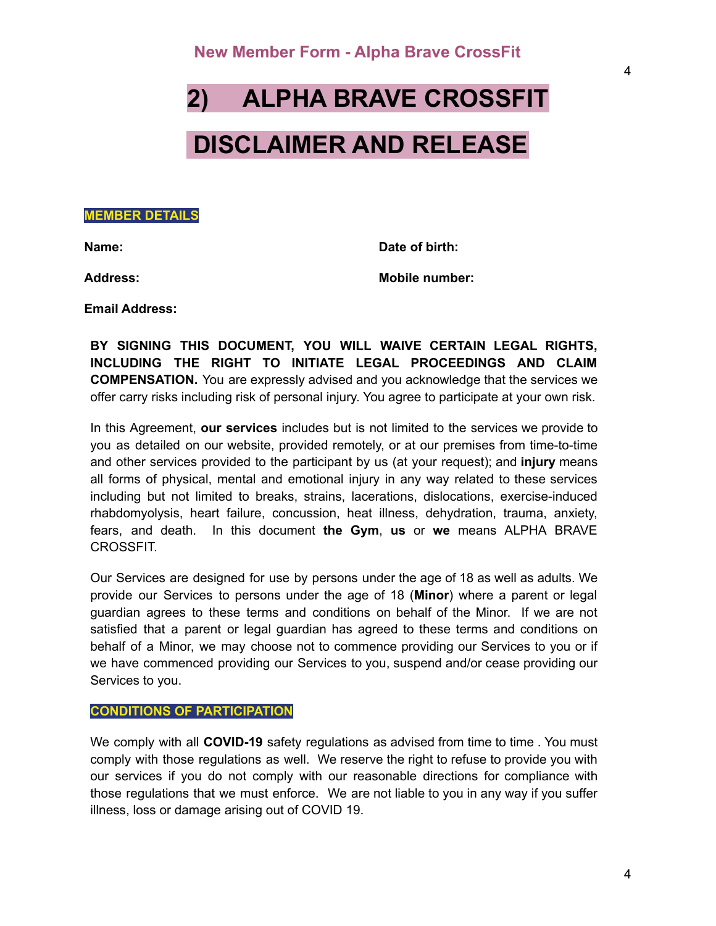# **2) ALPHA BRAVE CROSSFIT**

# **DISCLAIMER AND RELEASE**

**MEMBER DETAILS**

**Name: Date of birth:**

**Address: Mobile number:**

**Email Address:**

**BY SIGNING THIS DOCUMENT, YOU WILL WAIVE CERTAIN LEGAL RIGHTS, INCLUDING THE RIGHT TO INITIATE LEGAL PROCEEDINGS AND CLAIM COMPENSATION.** You are expressly advised and you acknowledge that the services we offer carry risks including risk of personal injury. You agree to participate at your own risk.

In this Agreement, **our services** includes but is not limited to the services we provide to you as detailed on our website, provided remotely, or at our premises from time-to-time and other services provided to the participant by us (at your request); and **injury** means all forms of physical, mental and emotional injury in any way related to these services including but not limited to breaks, strains, lacerations, dislocations, exercise-induced rhabdomyolysis, heart failure, concussion, heat illness, dehydration, trauma, anxiety, fears, and death. In this document **the Gym**, **us** or **we** means ALPHA BRAVE CROSSFIT.

Our Services are designed for use by persons under the age of 18 as well as adults. We provide our Services to persons under the age of 18 (**Minor**) where a parent or legal guardian agrees to these terms and conditions on behalf of the Minor. If we are not satisfied that a parent or legal guardian has agreed to these terms and conditions on behalf of a Minor, we may choose not to commence providing our Services to you or if we have commenced providing our Services to you, suspend and/or cease providing our Services to you.

### **CONDITIONS OF PARTICIPATION**

We comply with all **COVID-19** safety regulations as advised from time to time . You must comply with those regulations as well. We reserve the right to refuse to provide you with our services if you do not comply with our reasonable directions for compliance with those regulations that we must enforce. We are not liable to you in any way if you suffer illness, loss or damage arising out of COVID 19.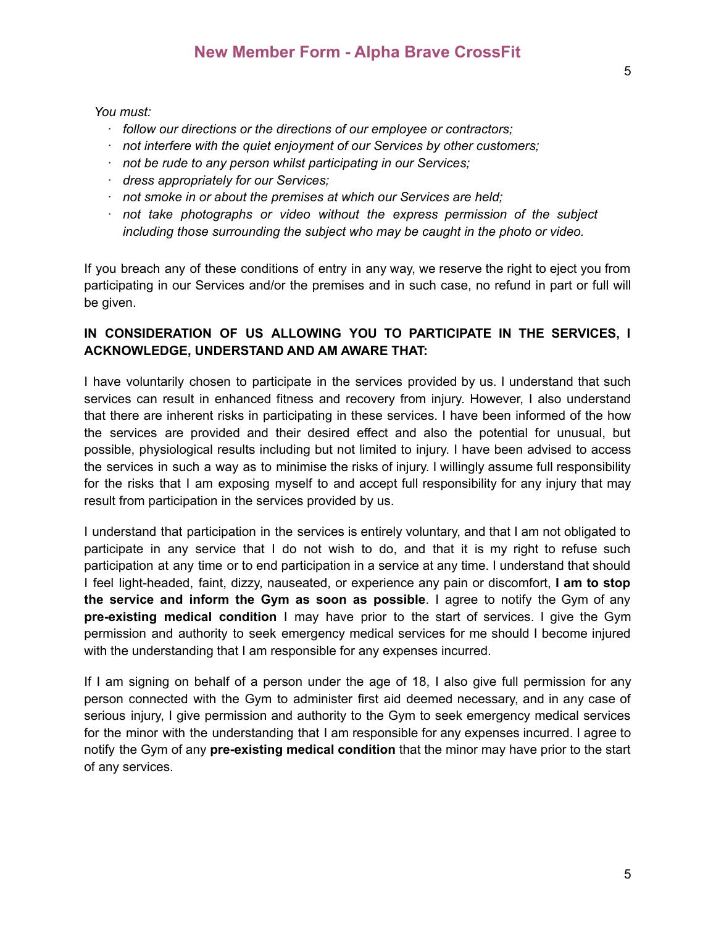*You must:*

- *· follow our directions or the directions of our employee or contractors;*
- *· not interfere with the quiet enjoyment of our Services by other customers;*
- *· not be rude to any person whilst participating in our Services;*
- *· dress appropriately for our Services;*
- *· not smoke in or about the premises at which our Services are held;*
- *· not take photographs or video without the express permission of the subject including those surrounding the subject who may be caught in the photo or video.*

If you breach any of these conditions of entry in any way, we reserve the right to eject you from participating in our Services and/or the premises and in such case, no refund in part or full will be given.

# **IN CONSIDERATION OF US ALLOWING YOU TO PARTICIPATE IN THE SERVICES, I ACKNOWLEDGE, UNDERSTAND AND AM AWARE THAT:**

I have voluntarily chosen to participate in the services provided by us. I understand that such services can result in enhanced fitness and recovery from injury. However, I also understand that there are inherent risks in participating in these services. I have been informed of the how the services are provided and their desired effect and also the potential for unusual, but possible, physiological results including but not limited to injury. I have been advised to access the services in such a way as to minimise the risks of injury. I willingly assume full responsibility for the risks that I am exposing myself to and accept full responsibility for any injury that may result from participation in the services provided by us.

I understand that participation in the services is entirely voluntary, and that I am not obligated to participate in any service that I do not wish to do, and that it is my right to refuse such participation at any time or to end participation in a service at any time. I understand that should I feel light-headed, faint, dizzy, nauseated, or experience any pain or discomfort, **I am to stop the service and inform the Gym as soon as possible**. I agree to notify the Gym of any **pre-existing medical condition** I may have prior to the start of services. I give the Gym permission and authority to seek emergency medical services for me should I become injured with the understanding that I am responsible for any expenses incurred.

If I am signing on behalf of a person under the age of 18, I also give full permission for any person connected with the Gym to administer first aid deemed necessary, and in any case of serious injury, I give permission and authority to the Gym to seek emergency medical services for the minor with the understanding that I am responsible for any expenses incurred. I agree to notify the Gym of any **pre-existing medical condition** that the minor may have prior to the start of any services.